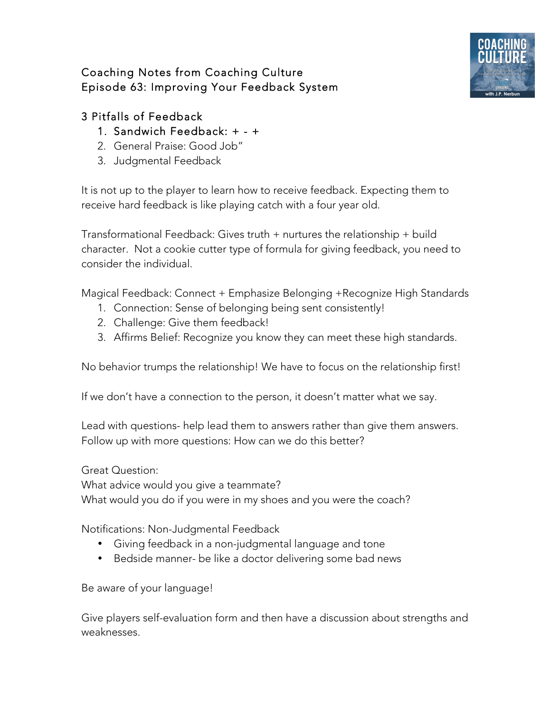## Coaching Notes from Coaching Culture Episode 63: Improving Your Feedback System



## 3 Pitfalls of Feedback

## 1. Sandwich Feedback: + - +

- 2. General Praise: Good Job"
- 3. Judgmental Feedback

It is not up to the player to learn how to receive feedback. Expecting them to receive hard feedback is like playing catch with a four year old.

Transformational Feedback: Gives truth + nurtures the relationship + build character. Not a cookie cutter type of formula for giving feedback, you need to consider the individual.

Magical Feedback: Connect + Emphasize Belonging +Recognize High Standards

- 1. Connection: Sense of belonging being sent consistently!
- 2. Challenge: Give them feedback!
- 3. Affirms Belief: Recognize you know they can meet these high standards.

No behavior trumps the relationship! We have to focus on the relationship first!

If we don't have a connection to the person, it doesn't matter what we say.

Lead with questions- help lead them to answers rather than give them answers. Follow up with more questions: How can we do this better?

Great Question:

What advice would you give a teammate?

What would you do if you were in my shoes and you were the coach?

Notifications: Non-Judgmental Feedback

- Giving feedback in a non-judgmental language and tone
- Bedside manner- be like a doctor delivering some bad news

Be aware of your language!

Give players self-evaluation form and then have a discussion about strengths and weaknesses.